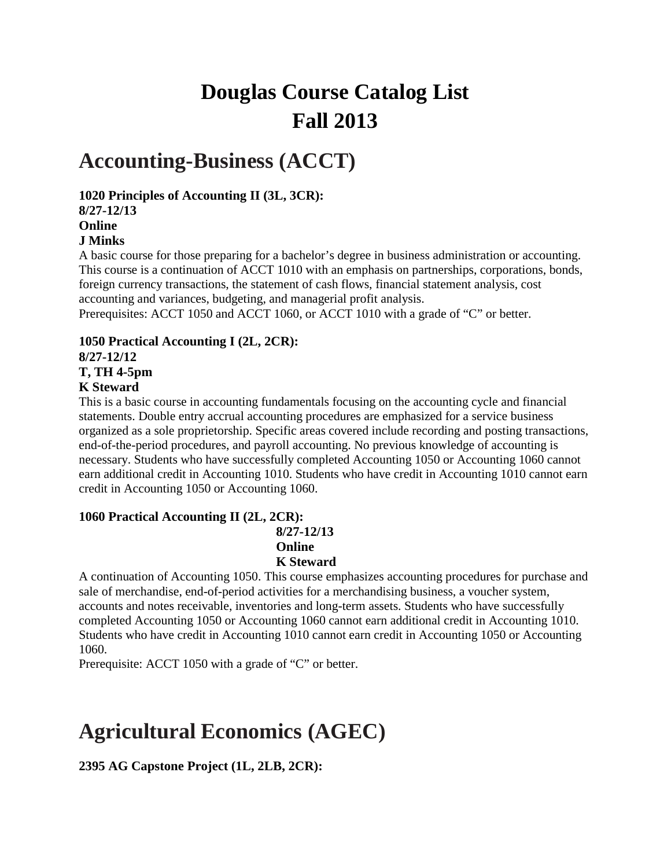## **Douglas Course Catalog List Fall 2013**

## **Accounting-Business (ACCT)**

**1020 Principles of Accounting II (3L, 3CR):** 

**8/27-12/13** 

### **Online**

### **J Minks**

A basic course for those preparing for a bachelor's degree in business administration or accounting. This course is a continuation of ACCT 1010 with an emphasis on partnerships, corporations, bonds, foreign currency transactions, the statement of cash flows, financial statement analysis, cost accounting and variances, budgeting, and managerial profit analysis.

Prerequisites: ACCT 1050 and ACCT 1060, or ACCT 1010 with a grade of "C" or better.

### **1050 Practical Accounting I (2L, 2CR):**

#### **8/27-12/12**

**T, TH 4-5pm** 

#### **K Steward**

This is a basic course in accounting fundamentals focusing on the accounting cycle and financial statements. Double entry accrual accounting procedures are emphasized for a service business organized as a sole proprietorship. Specific areas covered include recording and posting transactions, end-of-the-period procedures, and payroll accounting. No previous knowledge of accounting is necessary. Students who have successfully completed Accounting 1050 or Accounting 1060 cannot earn additional credit in Accounting 1010. Students who have credit in Accounting 1010 cannot earn credit in Accounting 1050 or Accounting 1060.

### **1060 Practical Accounting II (2L, 2CR):**

#### **8/27-12/13 Online K Steward**

A continuation of Accounting 1050. This course emphasizes accounting procedures for purchase and sale of merchandise, end-of-period activities for a merchandising business, a voucher system, accounts and notes receivable, inventories and long-term assets. Students who have successfully completed Accounting 1050 or Accounting 1060 cannot earn additional credit in Accounting 1010. Students who have credit in Accounting 1010 cannot earn credit in Accounting 1050 or Accounting 1060.

Prerequisite: ACCT 1050 with a grade of "C" or better.

## **Agricultural Economics (AGEC)**

### **2395 AG Capstone Project (1L, 2LB, 2CR):**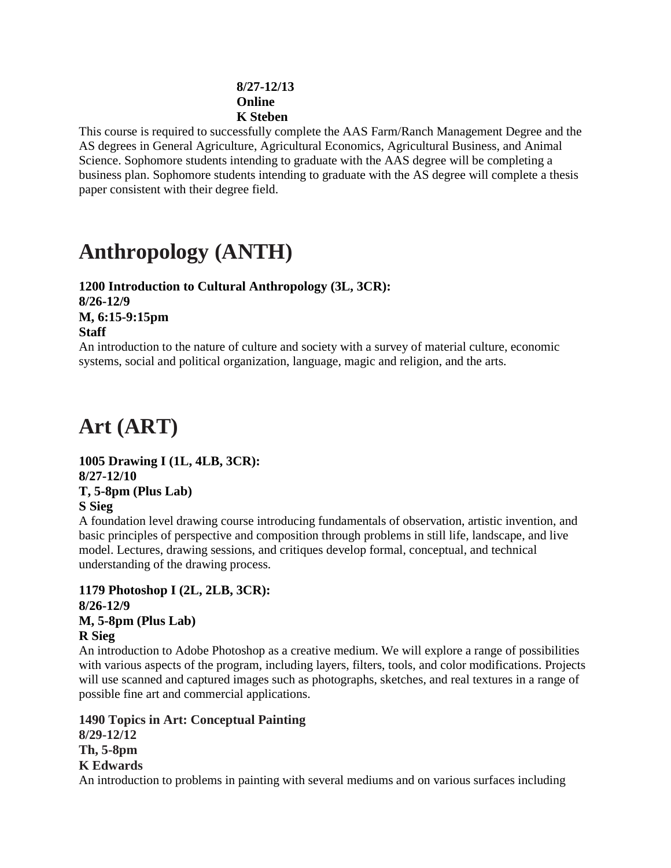#### **8/27-12/13 Online K Steben**

This course is required to successfully complete the AAS Farm/Ranch Management Degree and the AS degrees in General Agriculture, Agricultural Economics, Agricultural Business, and Animal Science. Sophomore students intending to graduate with the AAS degree will be completing a business plan. Sophomore students intending to graduate with the AS degree will complete a thesis paper consistent with their degree field.

## **Anthropology (ANTH)**

### **1200 Introduction to Cultural Anthropology (3L, 3CR): 8/26-12/9 M, 6:15-9:15pm Staff**

An introduction to the nature of culture and society with a survey of material culture, economic systems, social and political organization, language, magic and religion, and the arts.

## **Art (ART)**

### **1005 Drawing I (1L, 4LB, 3CR): 8/27-12/10 T, 5-8pm (Plus Lab) S Sieg**

A foundation level drawing course introducing fundamentals of observation, artistic invention, and basic principles of perspective and composition through problems in still life, landscape, and live model. Lectures, drawing sessions, and critiques develop formal, conceptual, and technical understanding of the drawing process.

### **1179 Photoshop I (2L, 2LB, 3CR): 8/26-12/9 M, 5-8pm (Plus Lab) R Sieg**

An introduction to Adobe Photoshop as a creative medium. We will explore a range of possibilities with various aspects of the program, including layers, filters, tools, and color modifications. Projects will use scanned and captured images such as photographs, sketches, and real textures in a range of possible fine art and commercial applications.

**1490 Topics in Art: Conceptual Painting 8/29-12/12 Th, 5-8pm K Edwards**  An introduction to problems in painting with several mediums and on various surfaces including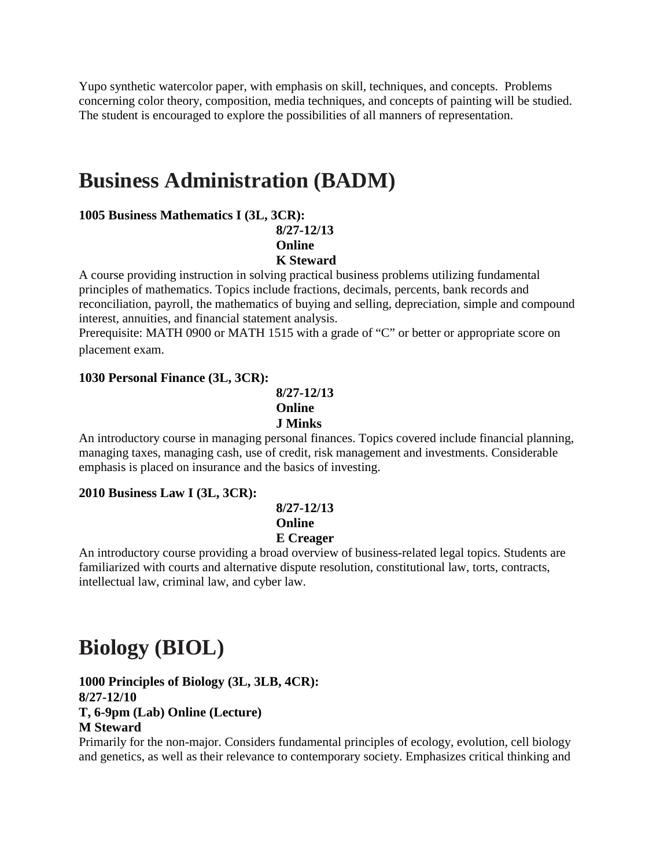Yupo synthetic watercolor paper, with emphasis on skill, techniques, and concepts. Problems concerning color theory, composition, media techniques, and concepts of painting will be studied. The student is encouraged to explore the possibilities of all manners of representation.

## **Business Administration (BADM)**

#### **1005 Business Mathematics I (3L, 3CR):**

**8/27-12/13 Online K Steward** 

A course providing instruction in solving practical business problems utilizing fundamental principles of mathematics. Topics include fractions, decimals, percents, bank records and reconciliation, payroll, the mathematics of buying and selling, depreciation, simple and compound interest, annuities, and financial statement analysis.

Prerequisite: MATH 0900 or MATH 1515 with a grade of "C" or better or appropriate score on placement exam.

#### **1030 Personal Finance (3L, 3CR):**

**8/27-12/13 Online J Minks** 

An introductory course in managing personal finances. Topics covered include financial planning, managing taxes, managing cash, use of credit, risk management and investments. Considerable emphasis is placed on insurance and the basics of investing.

#### **2010 Business Law I (3L, 3CR):**

#### **8/27-12/13 Online E Creager**

An introductory course providing a broad overview of business-related legal topics. Students are familiarized with courts and alternative dispute resolution, constitutional law, torts, contracts, intellectual law, criminal law, and cyber law.

## **Biology (BIOL)**

**1000 Principles of Biology (3L, 3LB, 4CR): 8/27-12/10 T, 6-9pm (Lab) Online (Lecture) M Steward** 

Primarily for the non-major. Considers fundamental principles of ecology, evolution, cell biology and genetics, as well as their relevance to contemporary society. Emphasizes critical thinking and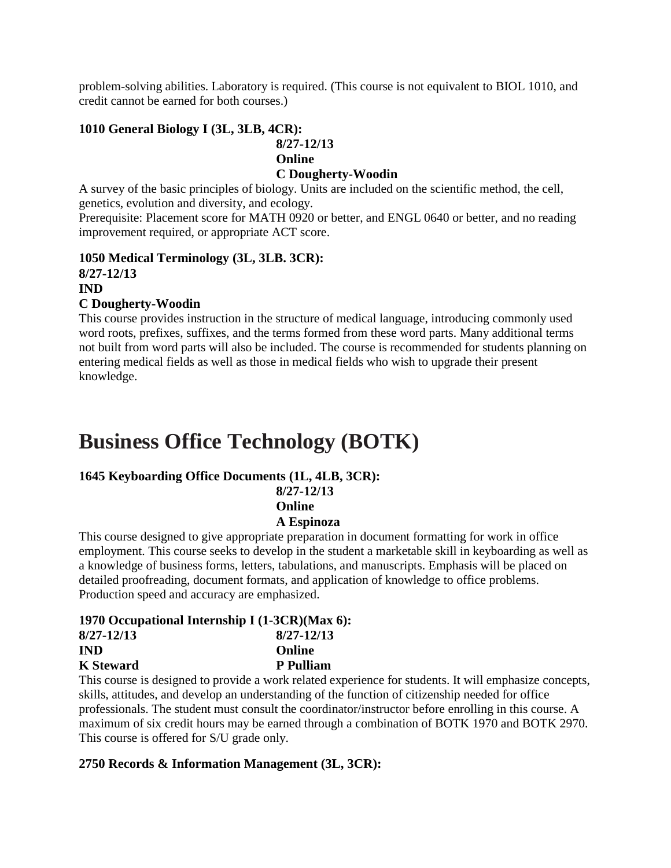problem-solving abilities. Laboratory is required. (This course is not equivalent to BIOL 1010, and credit cannot be earned for both courses.)

#### **1010 General Biology I (3L, 3LB, 4CR): 8/27-12/13 Online C Dougherty-Woodin**

A survey of the basic principles of biology. Units are included on the scientific method, the cell, genetics, evolution and diversity, and ecology.

Prerequisite: Placement score for MATH 0920 or better, and ENGL 0640 or better, and no reading improvement required, or appropriate ACT score.

#### **1050 Medical Terminology (3L, 3LB. 3CR): 8/27-12/13**

**IND** 

#### **C Dougherty-Woodin**

This course provides instruction in the structure of medical language, introducing commonly used word roots, prefixes, suffixes, and the terms formed from these word parts. Many additional terms not built from word parts will also be included. The course is recommended for students planning on entering medical fields as well as those in medical fields who wish to upgrade their present knowledge.

## **Business Office Technology (BOTK)**

#### **1645 Keyboarding Office Documents (1L, 4LB, 3CR):**

**8/27-12/13** 

**Online** 

#### **A Espinoza**

This course designed to give appropriate preparation in document formatting for work in office employment. This course seeks to develop in the student a marketable skill in keyboarding as well as a knowledge of business forms, letters, tabulations, and manuscripts. Emphasis will be placed on detailed proofreading, document formats, and application of knowledge to office problems. Production speed and accuracy are emphasized.

#### **1970 Occupational Internship I (1-3CR)(Max 6):**

| $8/27 - 12/13$   | $8/27 - 12/13$ |
|------------------|----------------|
| <b>IND</b>       | Online         |
| <b>K</b> Steward | P Pulliam      |
|                  |                |

This course is designed to provide a work related experience for students. It will emphasize concepts, skills, attitudes, and develop an understanding of the function of citizenship needed for office professionals. The student must consult the coordinator/instructor before enrolling in this course. A maximum of six credit hours may be earned through a combination of BOTK 1970 and BOTK 2970. This course is offered for S/U grade only.

#### **2750 Records & Information Management (3L, 3CR):**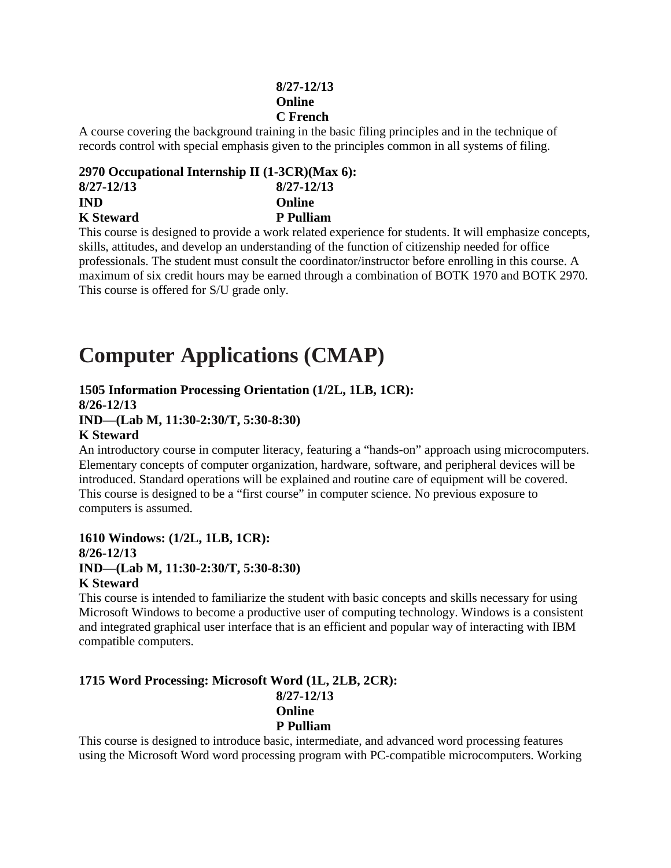#### **8/27-12/13 Online C French**

A course covering the background training in the basic filing principles and in the technique of records control with special emphasis given to the principles common in all systems of filing.

#### **2970 Occupational Internship II (1-3CR)(Max 6):**

| $8/27 - 12/13$   | $8/27 - 12/13$ |
|------------------|----------------|
| IND.             | <b>Online</b>  |
| <b>K</b> Steward | P Pulliam      |

This course is designed to provide a work related experience for students. It will emphasize concepts, skills, attitudes, and develop an understanding of the function of citizenship needed for office professionals. The student must consult the coordinator/instructor before enrolling in this course. A maximum of six credit hours may be earned through a combination of BOTK 1970 and BOTK 2970. This course is offered for S/U grade only.

## **Computer Applications (CMAP)**

### **1505 Information Processing Orientation (1/2L, 1LB, 1CR):**

**8/26-12/13** 

#### **IND—(Lab M, 11:30-2:30/T, 5:30-8:30)**

#### **K Steward**

An introductory course in computer literacy, featuring a "hands-on" approach using microcomputers. Elementary concepts of computer organization, hardware, software, and peripheral devices will be introduced. Standard operations will be explained and routine care of equipment will be covered. This course is designed to be a "first course" in computer science. No previous exposure to computers is assumed.

#### **1610 Windows: (1/2L, 1LB, 1CR): 8/26-12/13 IND—(Lab M, 11:30-2:30/T, 5:30-8:30) K Steward**

This course is intended to familiarize the student with basic concepts and skills necessary for using Microsoft Windows to become a productive user of computing technology. Windows is a consistent and integrated graphical user interface that is an efficient and popular way of interacting with IBM compatible computers.

### **1715 Word Processing: Microsoft Word (1L, 2LB, 2CR):**

**8/27-12/13 Online** 

#### **P Pulliam**

This course is designed to introduce basic, intermediate, and advanced word processing features using the Microsoft Word word processing program with PC-compatible microcomputers. Working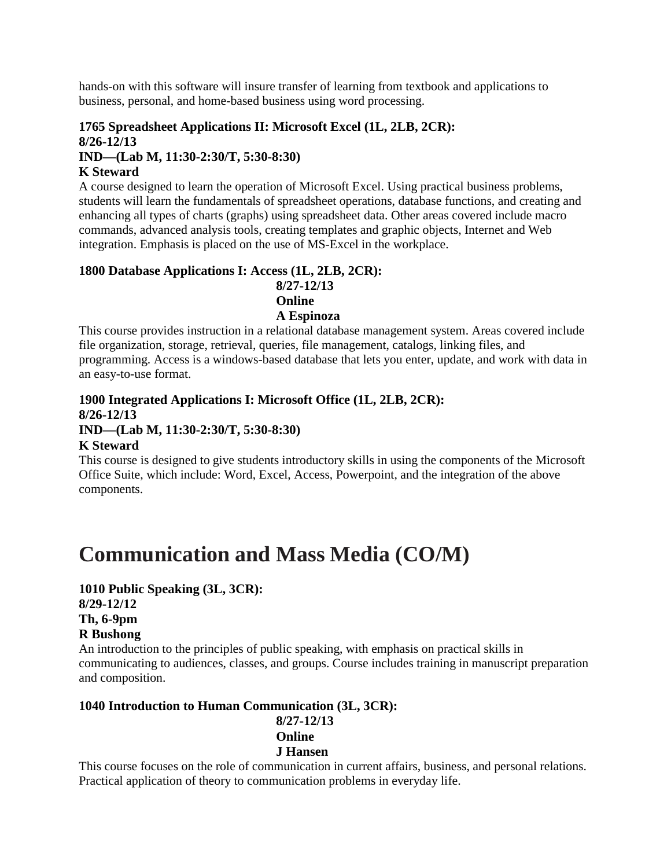hands-on with this software will insure transfer of learning from textbook and applications to business, personal, and home-based business using word processing.

### **1765 Spreadsheet Applications II: Microsoft Excel (1L, 2LB, 2CR): 8/26-12/13 IND—(Lab M, 11:30-2:30/T, 5:30-8:30)**

#### **K Steward**

A course designed to learn the operation of Microsoft Excel. Using practical business problems, students will learn the fundamentals of spreadsheet operations, database functions, and creating and enhancing all types of charts (graphs) using spreadsheet data. Other areas covered include macro commands, advanced analysis tools, creating templates and graphic objects, Internet and Web integration. Emphasis is placed on the use of MS-Excel in the workplace.

#### **1800 Database Applications I: Access (1L, 2LB, 2CR):**

**8/27-12/13 Online** 

#### **A Espinoza**

This course provides instruction in a relational database management system. Areas covered include file organization, storage, retrieval, queries, file management, catalogs, linking files, and programming. Access is a windows-based database that lets you enter, update, and work with data in an easy-to-use format.

#### **1900 Integrated Applications I: Microsoft Office (1L, 2LB, 2CR): 8/26-12/13 IND—(Lab M, 11:30-2:30/T, 5:30-8:30) K Steward**

This course is designed to give students introductory skills in using the components of the Microsoft Office Suite, which include: Word, Excel, Access, Powerpoint, and the integration of the above components.

## **Communication and Mass Media (CO/M)**

#### **1010 Public Speaking (3L, 3CR):**

**8/29-12/12 Th, 6-9pm** 

### **R Bushong**

An introduction to the principles of public speaking, with emphasis on practical skills in communicating to audiences, classes, and groups. Course includes training in manuscript preparation and composition.

#### **1040 Introduction to Human Communication (3L, 3CR):**

**8/27-12/13 Online J Hansen** 

This course focuses on the role of communication in current affairs, business, and personal relations. Practical application of theory to communication problems in everyday life.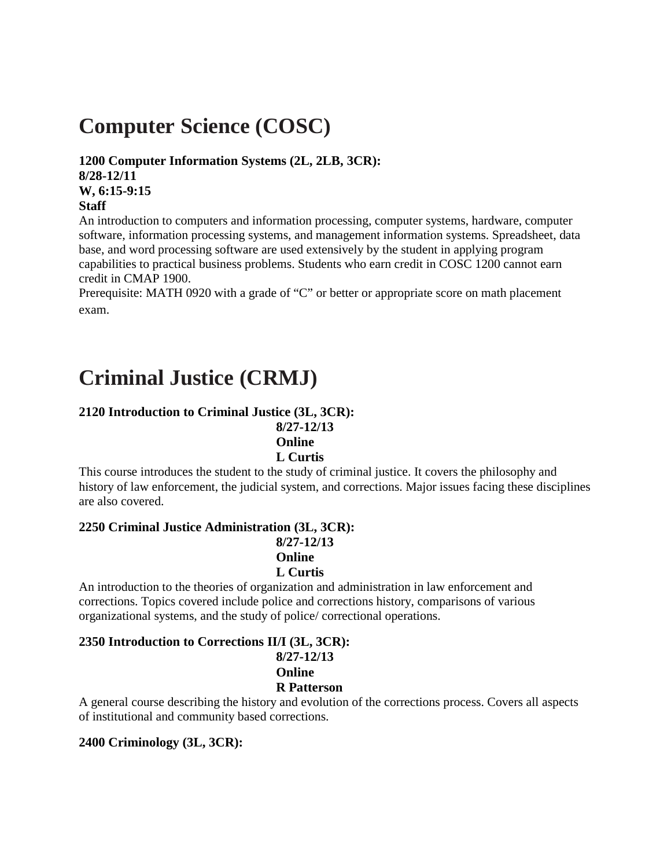## **Computer Science (COSC)**

### **1200 Computer Information Systems (2L, 2LB, 3CR): 8/28-12/11 W, 6:15-9:15 Staff**

An introduction to computers and information processing, computer systems, hardware, computer software, information processing systems, and management information systems. Spreadsheet, data base, and word processing software are used extensively by the student in applying program capabilities to practical business problems. Students who earn credit in COSC 1200 cannot earn credit in CMAP 1900.

Prerequisite: MATH 0920 with a grade of "C" or better or appropriate score on math placement exam.

## **Criminal Justice (CRMJ)**

#### **2120 Introduction to Criminal Justice (3L, 3CR):**

**8/27-12/13** 

### **Online**

**L Curtis**

This course introduces the student to the study of criminal justice. It covers the philosophy and history of law enforcement, the judicial system, and corrections. Major issues facing these disciplines are also covered.

#### **2250 Criminal Justice Administration (3L, 3CR): 8/27-12/13**

**Online** 

#### **L Curtis**

An introduction to the theories of organization and administration in law enforcement and corrections. Topics covered include police and corrections history, comparisons of various organizational systems, and the study of police/ correctional operations.

#### **2350 Introduction to Corrections II/I (3L, 3CR):**

#### **8/27-12/13 Online R Patterson**

A general course describing the history and evolution of the corrections process. Covers all aspects of institutional and community based corrections.

#### **2400 Criminology (3L, 3CR):**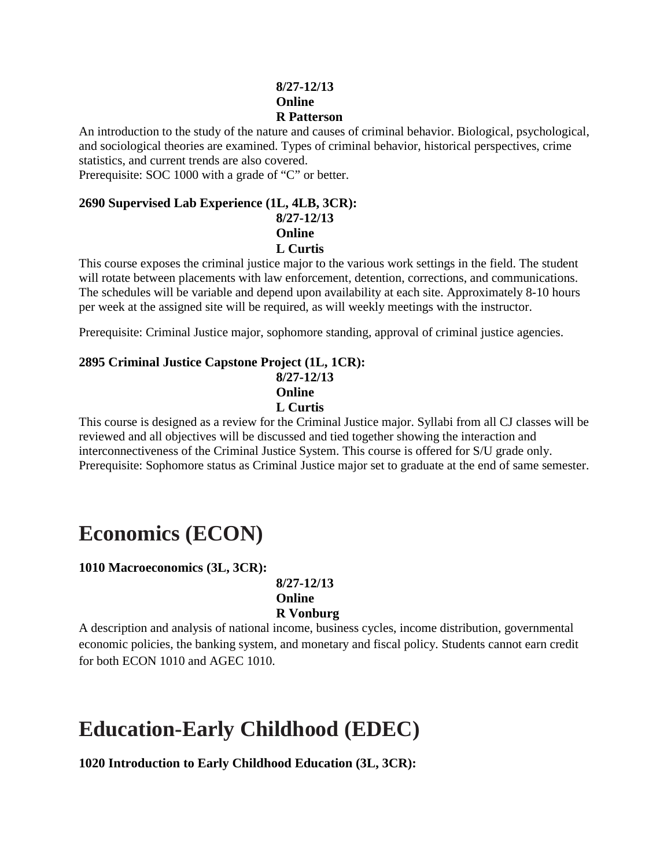### **8/27-12/13 Online**

#### **R Patterson**

An introduction to the study of the nature and causes of criminal behavior. Biological, psychological, and sociological theories are examined. Types of criminal behavior, historical perspectives, crime statistics, and current trends are also covered.

Prerequisite: SOC 1000 with a grade of "C" or better.

### **2690 Supervised Lab Experience (1L, 4LB, 3CR): 8/27-12/13 Online**

 **L Curtis**

This course exposes the criminal justice major to the various work settings in the field. The student will rotate between placements with law enforcement, detention, corrections, and communications. The schedules will be variable and depend upon availability at each site. Approximately 8-10 hours per week at the assigned site will be required, as will weekly meetings with the instructor.

Prerequisite: Criminal Justice major, sophomore standing, approval of criminal justice agencies.

#### **2895 Criminal Justice Capstone Project (1L, 1CR): 8/27-12/13 Online**

**L Curtis** 

This course is designed as a review for the Criminal Justice major. Syllabi from all CJ classes will be reviewed and all objectives will be discussed and tied together showing the interaction and interconnectiveness of the Criminal Justice System. This course is offered for S/U grade only. Prerequisite: Sophomore status as Criminal Justice major set to graduate at the end of same semester.

## **Economics (ECON)**

#### **1010 Macroeconomics (3L, 3CR):**

**8/27-12/13 Online R Vonburg** 

A description and analysis of national income, business cycles, income distribution, governmental economic policies, the banking system, and monetary and fiscal policy. Students cannot earn credit for both ECON 1010 and AGEC 1010.

## **Education-Early Childhood (EDEC)**

**1020 Introduction to Early Childhood Education (3L, 3CR):**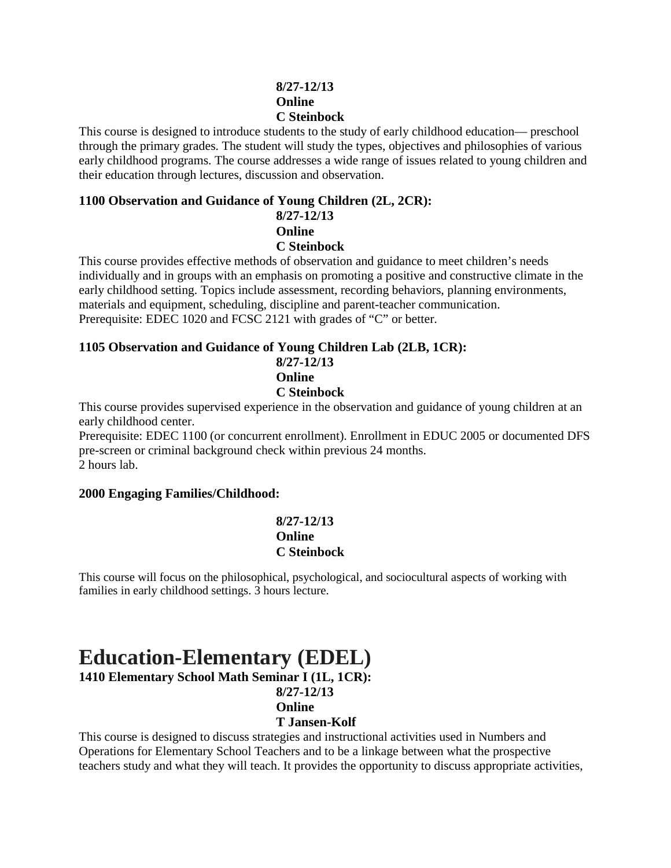#### **8/27-12/13 Online C Steinbock**

This course is designed to introduce students to the study of early childhood education— preschool through the primary grades. The student will study the types, objectives and philosophies of various early childhood programs. The course addresses a wide range of issues related to young children and their education through lectures, discussion and observation.

#### **1100 Observation and Guidance of Young Children (2L, 2CR):**

#### **8/27-12/13 Online C Steinbock**

This course provides effective methods of observation and guidance to meet children's needs individually and in groups with an emphasis on promoting a positive and constructive climate in the early childhood setting. Topics include assessment, recording behaviors, planning environments, materials and equipment, scheduling, discipline and parent-teacher communication. Prerequisite: EDEC 1020 and FCSC 2121 with grades of "C" or better.

#### **1105 Observation and Guidance of Young Children Lab (2LB, 1CR):**

### **8/27-12/13 Online**

#### **C Steinbock**

This course provides supervised experience in the observation and guidance of young children at an early childhood center.

Prerequisite: EDEC 1100 (or concurrent enrollment). Enrollment in EDUC 2005 or documented DFS pre-screen or criminal background check within previous 24 months. 2 hours lab.

#### **2000 Engaging Families/Childhood:**

#### **8/27-12/13 Online C Steinbock**

This course will focus on the philosophical, psychological, and sociocultural aspects of working with families in early childhood settings. 3 hours lecture.

## **Education-Elementary (EDEL)**

#### **1410 Elementary School Math Seminar I (1L, 1CR):**

### **8/27-12/13 Online**

#### **T Jansen-Kolf**

This course is designed to discuss strategies and instructional activities used in Numbers and Operations for Elementary School Teachers and to be a linkage between what the prospective teachers study and what they will teach. It provides the opportunity to discuss appropriate activities,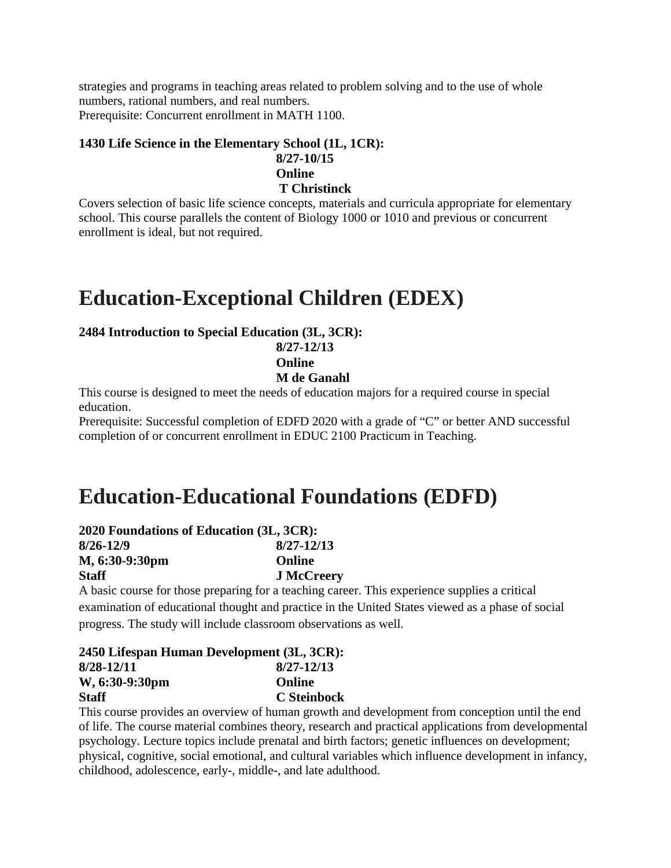strategies and programs in teaching areas related to problem solving and to the use of whole numbers, rational numbers, and real numbers. Prerequisite: Concurrent enrollment in MATH 1100.

#### **1430 Life Science in the Elementary School (1L, 1CR): 8/27-10/15**

**Online** 

 **T Christinck** 

Covers selection of basic life science concepts, materials and curricula appropriate for elementary school. This course parallels the content of Biology 1000 or 1010 and previous or concurrent enrollment is ideal, but not required.

## **Education-Exceptional Children (EDEX)**

#### **2484 Introduction to Special Education (3L, 3CR):**

**8/27-12/13** 

**Online** 

#### **M de Ganahl**

This course is designed to meet the needs of education majors for a required course in special education.

Prerequisite: Successful completion of EDFD 2020 with a grade of "C" or better AND successful completion of or concurrent enrollment in EDUC 2100 Practicum in Teaching.

## **Education-Educational Foundations (EDFD)**

**2020 Foundations of Education (3L, 3CR):** 

| 8/26-12/9      | 8/27-12/13        |
|----------------|-------------------|
| M, 6:30-9:30pm | Online            |
| <b>Staff</b>   | <b>J McCreery</b> |

A basic course for those preparing for a teaching career. This experience supplies a critical examination of educational thought and practice in the United States viewed as a phase of social progress. The study will include classroom observations as well.

**2450 Lifespan Human Development (3L, 3CR): 8/28-12/11 8/27-12/13** 

| $\mathbf{v}$ and $\mathbf{v}$ and $\mathbf{v}$ |             |
|------------------------------------------------|-------------|
| W, 6:30-9:30pm                                 | Online      |
| Staff                                          | C Steinbock |

This course provides an overview of human growth and development from conception until the end of life. The course material combines theory, research and practical applications from developmental psychology. Lecture topics include prenatal and birth factors; genetic influences on development; physical, cognitive, social emotional, and cultural variables which influence development in infancy, childhood, adolescence, early-, middle-, and late adulthood.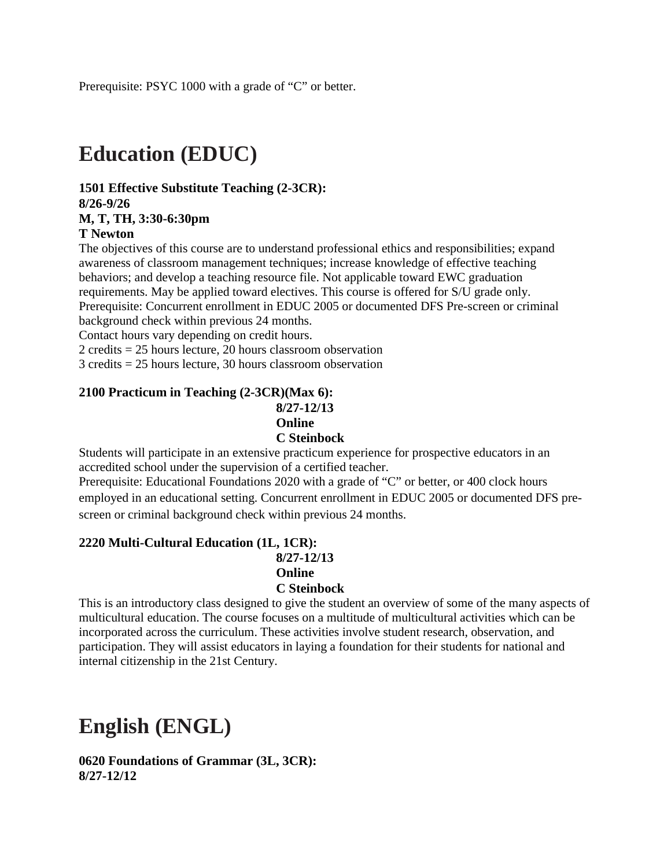Prerequisite: PSYC 1000 with a grade of "C" or better.

## **Education (EDUC)**

### **1501 Effective Substitute Teaching (2-3CR):**

#### **8/26-9/26**

#### **M, T, TH, 3:30-6:30pm**

#### **T Newton**

The objectives of this course are to understand professional ethics and responsibilities; expand awareness of classroom management techniques; increase knowledge of effective teaching behaviors; and develop a teaching resource file. Not applicable toward EWC graduation requirements. May be applied toward electives. This course is offered for S/U grade only. Prerequisite: Concurrent enrollment in EDUC 2005 or documented DFS Pre-screen or criminal background check within previous 24 months.

Contact hours vary depending on credit hours.

2 credits = 25 hours lecture, 20 hours classroom observation

3 credits = 25 hours lecture, 30 hours classroom observation

#### **2100 Practicum in Teaching (2-3CR)(Max 6): 8/27-12/13**

**Online** 

**C Steinbock**

Students will participate in an extensive practicum experience for prospective educators in an accredited school under the supervision of a certified teacher.

Prerequisite: Educational Foundations 2020 with a grade of "C" or better, or 400 clock hours employed in an educational setting. Concurrent enrollment in EDUC 2005 or documented DFS prescreen or criminal background check within previous 24 months.

#### **2220 Multi-Cultural Education (1L, 1CR):**

#### **8/27-12/13 Online C Steinbock**

This is an introductory class designed to give the student an overview of some of the many aspects of multicultural education. The course focuses on a multitude of multicultural activities which can be incorporated across the curriculum. These activities involve student research, observation, and participation. They will assist educators in laying a foundation for their students for national and internal citizenship in the 21st Century.

# **English (ENGL)**

**0620 Foundations of Grammar (3L, 3CR): 8/27-12/12**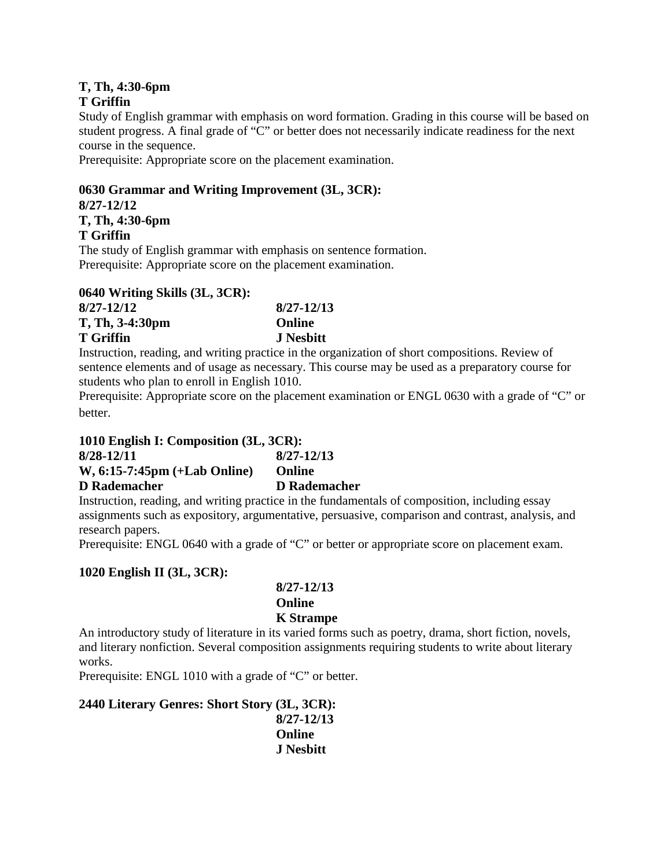### **T, Th, 4:30-6pm**

### **T Griffin**

Study of English grammar with emphasis on word formation. Grading in this course will be based on student progress. A final grade of "C" or better does not necessarily indicate readiness for the next course in the sequence.

Prerequisite: Appropriate score on the placement examination.

#### **0630 Grammar and Writing Improvement (3L, 3CR):**

#### **8/27-12/12**

**T, Th, 4:30-6pm** 

#### **T Griffin**

The study of English grammar with emphasis on sentence formation. Prerequisite: Appropriate score on the placement examination.

#### **0640 Writing Skills (3L, 3CR):**

| 8/27-12/12      |  | 8/27-12/13 |
|-----------------|--|------------|
| T, Th, 3-4:30pm |  | Online     |
| T Griffin       |  | J Nesbitt  |

Instruction, reading, and writing practice in the organization of short compositions. Review of sentence elements and of usage as necessary. This course may be used as a preparatory course for students who plan to enroll in English 1010.

Prerequisite: Appropriate score on the placement examination or ENGL 0630 with a grade of "C" or better.

#### **1010 English I: Composition (3L, 3CR):**

**8/28-12/11 8/27-12/13 W, 6:15-7:45pm (+Lab Online) Online D Rademacher D Rademacher**

Instruction, reading, and writing practice in the fundamentals of composition, including essay assignments such as expository, argumentative, persuasive, comparison and contrast, analysis, and research papers.

Prerequisite: ENGL 0640 with a grade of "C" or better or appropriate score on placement exam.

#### **1020 English II (3L, 3CR):**

#### **8/27-12/13 Online K Strampe**

An introductory study of literature in its varied forms such as poetry, drama, short fiction, novels, and literary nonfiction. Several composition assignments requiring students to write about literary works.

Prerequisite: ENGL 1010 with a grade of "C" or better.

#### **2440 Literary Genres: Short Story (3L, 3CR): 8/27-12/13 Online J Nesbitt**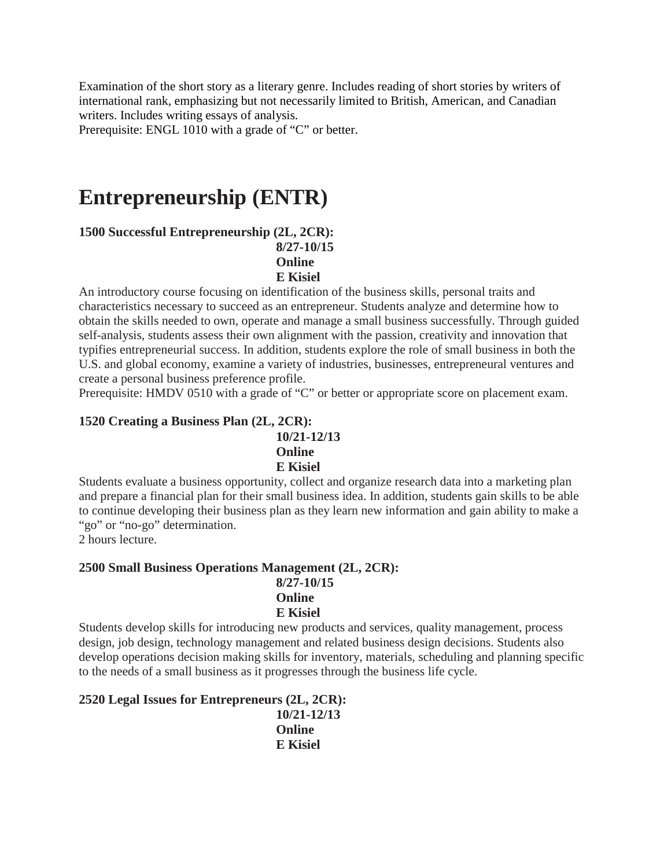Examination of the short story as a literary genre. Includes reading of short stories by writers of international rank, emphasizing but not necessarily limited to British, American, and Canadian writers. Includes writing essays of analysis.

Prerequisite: ENGL 1010 with a grade of "C" or better.

## **Entrepreneurship (ENTR)**

#### **1500 Successful Entrepreneurship (2L, 2CR): 8/27-10/15 Online E Kisiel**

An introductory course focusing on identification of the business skills, personal traits and characteristics necessary to succeed as an entrepreneur. Students analyze and determine how to obtain the skills needed to own, operate and manage a small business successfully. Through guided self-analysis, students assess their own alignment with the passion, creativity and innovation that typifies entrepreneurial success. In addition, students explore the role of small business in both the U.S. and global economy, examine a variety of industries, businesses, entrepreneural ventures and create a personal business preference profile.

Prerequisite: HMDV 0510 with a grade of "C" or better or appropriate score on placement exam.

#### **1520 Creating a Business Plan (2L, 2CR):**

**10/21-12/13 Online E Kisiel** 

Students evaluate a business opportunity, collect and organize research data into a marketing plan and prepare a financial plan for their small business idea. In addition, students gain skills to be able to continue developing their business plan as they learn new information and gain ability to make a "go" or "no-go" determination.

2 hours lecture.

#### **2500 Small Business Operations Management (2L, 2CR): 8/27-10/15 Online**

**E Kisiel** 

Students develop skills for introducing new products and services, quality management, process design, job design, technology management and related business design decisions. Students also develop operations decision making skills for inventory, materials, scheduling and planning specific to the needs of a small business as it progresses through the business life cycle.

**2520 Legal Issues for Entrepreneurs (2L, 2CR): 10/21-12/13 Online E Kisiel**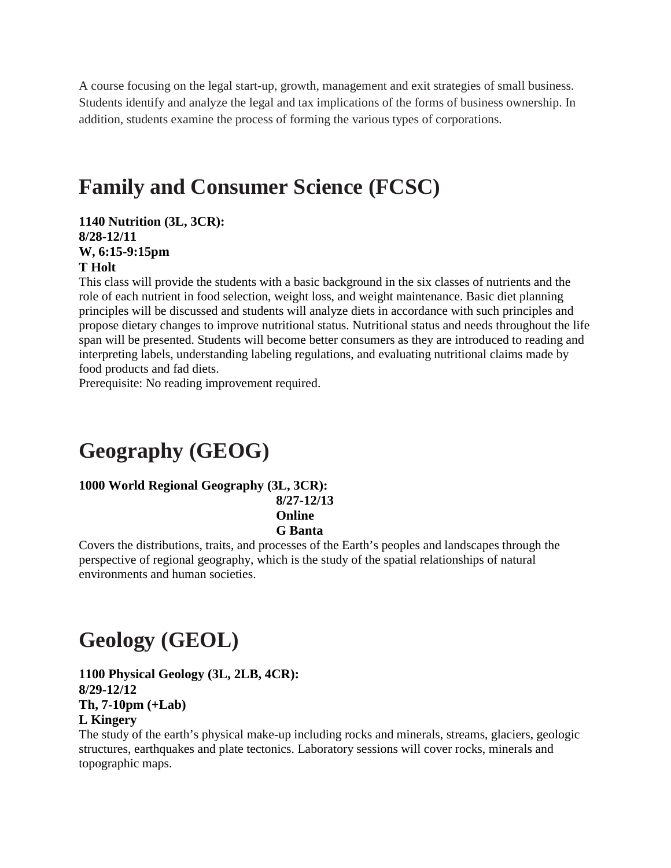A course focusing on the legal start-up, growth, management and exit strategies of small business. Students identify and analyze the legal and tax implications of the forms of business ownership. In addition, students examine the process of forming the various types of corporations.

## **Family and Consumer Science (FCSC)**

**1140 Nutrition (3L, 3CR): 8/28-12/11 W, 6:15-9:15pm T Holt** 

This class will provide the students with a basic background in the six classes of nutrients and the role of each nutrient in food selection, weight loss, and weight maintenance. Basic diet planning principles will be discussed and students will analyze diets in accordance with such principles and propose dietary changes to improve nutritional status. Nutritional status and needs throughout the life span will be presented. Students will become better consumers as they are introduced to reading and interpreting labels, understanding labeling regulations, and evaluating nutritional claims made by food products and fad diets.

Prerequisite: No reading improvement required.

## **Geography (GEOG)**

#### **1000 World Regional Geography (3L, 3CR):**

#### **8/27-12/13 Online G Banta**

Covers the distributions, traits, and processes of the Earth's peoples and landscapes through the perspective of regional geography, which is the study of the spatial relationships of natural environments and human societies.

## **Geology (GEOL)**

### **1100 Physical Geology (3L, 2LB, 4CR): 8/29-12/12 Th, 7-10pm (+Lab) L Kingery**

The study of the earth's physical make-up including rocks and minerals, streams, glaciers, geologic structures, earthquakes and plate tectonics. Laboratory sessions will cover rocks, minerals and topographic maps.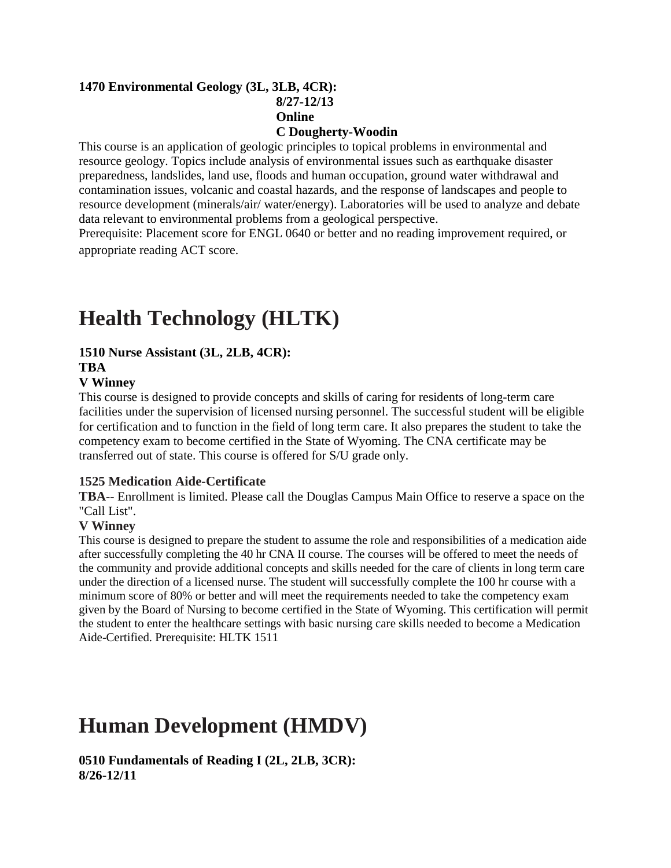#### **1470 Environmental Geology (3L, 3LB, 4CR): 8/27-12/13 Online C Dougherty-Woodin**

This course is an application of geologic principles to topical problems in environmental and resource geology. Topics include analysis of environmental issues such as earthquake disaster preparedness, landslides, land use, floods and human occupation, ground water withdrawal and contamination issues, volcanic and coastal hazards, and the response of landscapes and people to resource development (minerals/air/ water/energy). Laboratories will be used to analyze and debate data relevant to environmental problems from a geological perspective.

Prerequisite: Placement score for ENGL 0640 or better and no reading improvement required, or appropriate reading ACT score.

## **Health Technology (HLTK)**

## **1510 Nurse Assistant (3L, 2LB, 4CR):**

### **TBA**

### **V Winney**

This course is designed to provide concepts and skills of caring for residents of long-term care facilities under the supervision of licensed nursing personnel. The successful student will be eligible for certification and to function in the field of long term care. It also prepares the student to take the competency exam to become certified in the State of Wyoming. The CNA certificate may be transferred out of state. This course is offered for S/U grade only.

#### **1525 Medication Aide-Certificate**

**TBA**-- Enrollment is limited. Please call the Douglas Campus Main Office to reserve a space on the "Call List".

#### **V Winney**

This course is designed to prepare the student to assume the role and responsibilities of a medication aide after successfully completing the 40 hr CNA II course. The courses will be offered to meet the needs of the community and provide additional concepts and skills needed for the care of clients in long term care under the direction of a licensed nurse. The student will successfully complete the 100 hr course with a minimum score of 80% or better and will meet the requirements needed to take the competency exam given by the Board of Nursing to become certified in the State of Wyoming. This certification will permit the student to enter the healthcare settings with basic nursing care skills needed to become a Medication Aide-Certified. Prerequisite: HLTK 1511

## **Human Development (HMDV)**

**0510 Fundamentals of Reading I (2L, 2LB, 3CR): 8/26-12/11**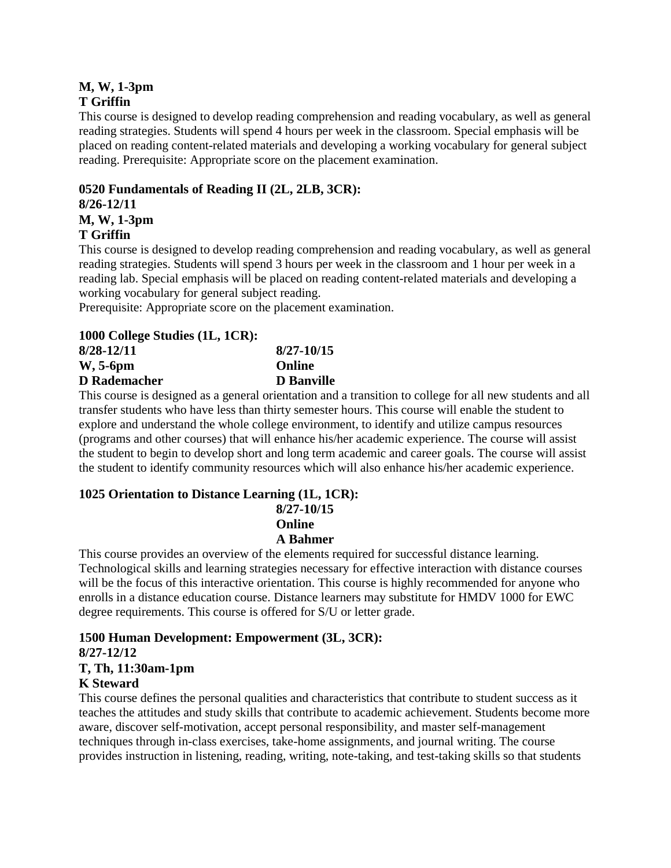#### **M, W, 1-3pm T Griffin**

This course is designed to develop reading comprehension and reading vocabulary, as well as general reading strategies. Students will spend 4 hours per week in the classroom. Special emphasis will be placed on reading content-related materials and developing a working vocabulary for general subject reading. Prerequisite: Appropriate score on the placement examination.

### **0520 Fundamentals of Reading II (2L, 2LB, 3CR):**

#### **8/26-12/11**

### **M, W, 1-3pm**

#### **T Griffin**

This course is designed to develop reading comprehension and reading vocabulary, as well as general reading strategies. Students will spend 3 hours per week in the classroom and 1 hour per week in a reading lab. Special emphasis will be placed on reading content-related materials and developing a working vocabulary for general subject reading.

Prerequisite: Appropriate score on the placement examination.

#### **1000 College Studies (1L, 1CR):**

| $8/28 - 12/11$ | $8/27 - 10/15$    |
|----------------|-------------------|
| W, 5-6pm       | Online            |
| D Rademacher   | <b>D</b> Banville |

This course is designed as a general orientation and a transition to college for all new students and all transfer students who have less than thirty semester hours. This course will enable the student to explore and understand the whole college environment, to identify and utilize campus resources (programs and other courses) that will enhance his/her academic experience. The course will assist the student to begin to develop short and long term academic and career goals. The course will assist the student to identify community resources which will also enhance his/her academic experience.

#### **1025 Orientation to Distance Learning (1L, 1CR):**

#### **8/27-10/15 Online A Bahmer**

This course provides an overview of the elements required for successful distance learning. Technological skills and learning strategies necessary for effective interaction with distance courses will be the focus of this interactive orientation. This course is highly recommended for anyone who enrolls in a distance education course. Distance learners may substitute for HMDV 1000 for EWC degree requirements. This course is offered for S/U or letter grade.

#### **1500 Human Development: Empowerment (3L, 3CR): 8/27-12/12 T, Th, 11:30am-1pm K Steward**

This course defines the personal qualities and characteristics that contribute to student success as it teaches the attitudes and study skills that contribute to academic achievement. Students become more aware, discover self-motivation, accept personal responsibility, and master self-management techniques through in-class exercises, take-home assignments, and journal writing. The course provides instruction in listening, reading, writing, note-taking, and test-taking skills so that students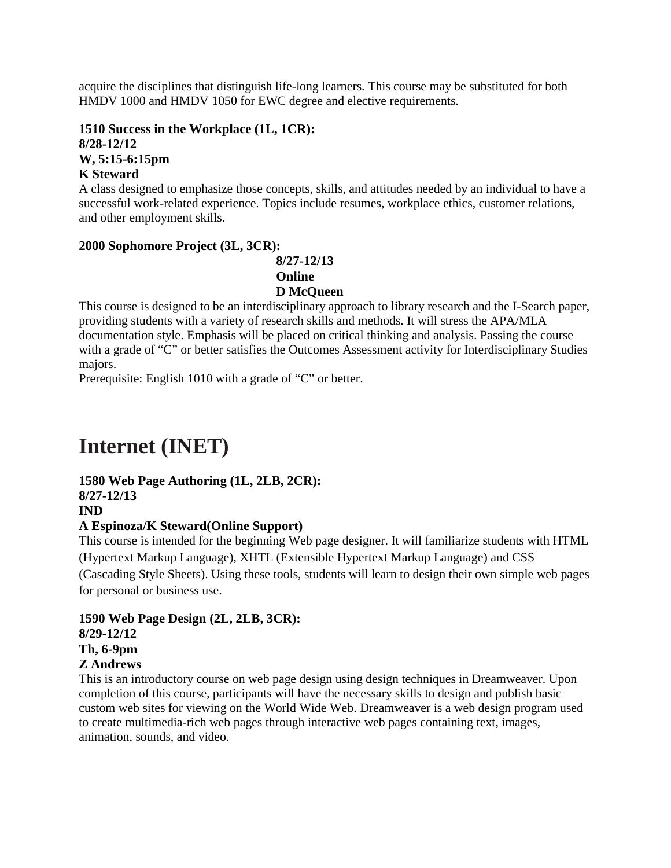acquire the disciplines that distinguish life-long learners. This course may be substituted for both HMDV 1000 and HMDV 1050 for EWC degree and elective requirements.

**1510 Success in the Workplace (1L, 1CR): 8/28-12/12 W, 5:15-6:15pm** 

#### **K Steward**

A class designed to emphasize those concepts, skills, and attitudes needed by an individual to have a successful work-related experience. Topics include resumes, workplace ethics, customer relations, and other employment skills.

#### **2000 Sophomore Project (3L, 3CR):**

#### **8/27-12/13 Online D McQueen**

This course is designed to be an interdisciplinary approach to library research and the I-Search paper, providing students with a variety of research skills and methods. It will stress the APA/MLA documentation style. Emphasis will be placed on critical thinking and analysis. Passing the course with a grade of "C" or better satisfies the Outcomes Assessment activity for Interdisciplinary Studies majors.

Prerequisite: English 1010 with a grade of "C" or better.

## **Internet (INET)**

#### **1580 Web Page Authoring (1L, 2LB, 2CR):**

#### **8/27-12/13**

#### **IND**

#### **A Espinoza/K Steward(Online Support)**

This course is intended for the beginning Web page designer. It will familiarize students with HTML (Hypertext Markup Language), XHTL (Extensible Hypertext Markup Language) and CSS (Cascading Style Sheets). Using these tools, students will learn to design their own simple web pages for personal or business use.

#### **1590 Web Page Design (2L, 2LB, 3CR): 8/29-12/12 Th, 6-9pm**

### **Z Andrews**

This is an introductory course on web page design using design techniques in Dreamweaver. Upon completion of this course, participants will have the necessary skills to design and publish basic custom web sites for viewing on the World Wide Web. Dreamweaver is a web design program used to create multimedia-rich web pages through interactive web pages containing text, images, animation, sounds, and video.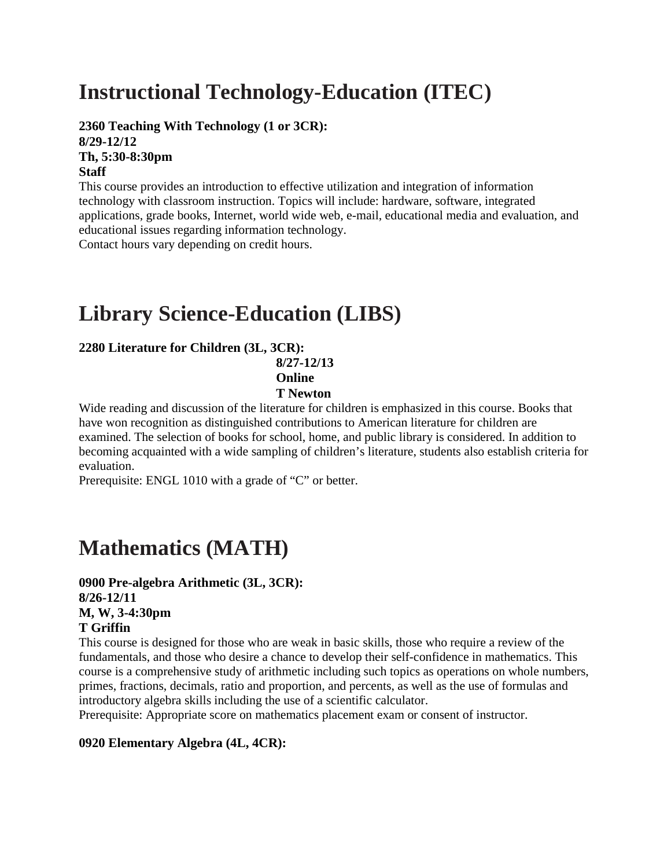## **Instructional Technology-Education (ITEC)**

**2360 Teaching With Technology (1 or 3CR): 8/29-12/12 Th, 5:30-8:30pm Staff** 

This course provides an introduction to effective utilization and integration of information technology with classroom instruction. Topics will include: hardware, software, integrated applications, grade books, Internet, world wide web, e-mail, educational media and evaluation, and educational issues regarding information technology.

Contact hours vary depending on credit hours.

## **Library Science-Education (LIBS)**

### **2280 Literature for Children (3L, 3CR):**

**8/27-12/13 Online T Newton** 

Wide reading and discussion of the literature for children is emphasized in this course. Books that have won recognition as distinguished contributions to American literature for children are examined. The selection of books for school, home, and public library is considered. In addition to becoming acquainted with a wide sampling of children's literature, students also establish criteria for evaluation.

Prerequisite: ENGL 1010 with a grade of "C" or better.

## **Mathematics (MATH)**

#### **0900 Pre-algebra Arithmetic (3L, 3CR): 8/26-12/11 M, W, 3-4:30pm T Griffin**

This course is designed for those who are weak in basic skills, those who require a review of the fundamentals, and those who desire a chance to develop their self-confidence in mathematics. This course is a comprehensive study of arithmetic including such topics as operations on whole numbers, primes, fractions, decimals, ratio and proportion, and percents, as well as the use of formulas and introductory algebra skills including the use of a scientific calculator.

Prerequisite: Appropriate score on mathematics placement exam or consent of instructor.

#### **0920 Elementary Algebra (4L, 4CR):**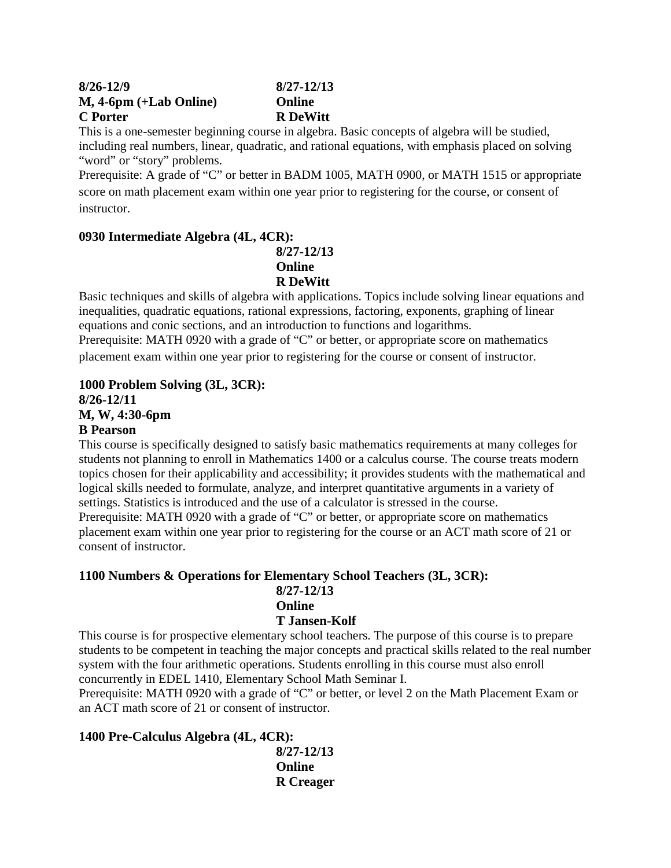#### **8/26-12/9 8/27-12/13 M, 4-6pm (+Lab Online) Online C Porter R DeWitt**

This is a one-semester beginning course in algebra. Basic concepts of algebra will be studied, including real numbers, linear, quadratic, and rational equations, with emphasis placed on solving "word" or "story" problems.

Prerequisite: A grade of "C" or better in BADM 1005, MATH 0900, or MATH 1515 or appropriate score on math placement exam within one year prior to registering for the course, or consent of instructor.

### **0930 Intermediate Algebra (4L, 4CR):**

**8/27-12/13 Online R DeWitt** 

Basic techniques and skills of algebra with applications. Topics include solving linear equations and inequalities, quadratic equations, rational expressions, factoring, exponents, graphing of linear equations and conic sections, and an introduction to functions and logarithms.

Prerequisite: MATH 0920 with a grade of "C" or better, or appropriate score on mathematics placement exam within one year prior to registering for the course or consent of instructor.

#### **1000 Problem Solving (3L, 3CR): 8/26-12/11 M, W, 4:30-6pm B Pearson**

This course is specifically designed to satisfy basic mathematics requirements at many colleges for students not planning to enroll in Mathematics 1400 or a calculus course. The course treats modern topics chosen for their applicability and accessibility; it provides students with the mathematical and logical skills needed to formulate, analyze, and interpret quantitative arguments in a variety of settings. Statistics is introduced and the use of a calculator is stressed in the course. Prerequisite: MATH 0920 with a grade of "C" or better, or appropriate score on mathematics placement exam within one year prior to registering for the course or an ACT math score of 21 or consent of instructor.

#### **1100 Numbers & Operations for Elementary School Teachers (3L, 3CR): 8/27-12/13**

#### **Online**

#### **T Jansen-Kolf**

This course is for prospective elementary school teachers. The purpose of this course is to prepare students to be competent in teaching the major concepts and practical skills related to the real number system with the four arithmetic operations. Students enrolling in this course must also enroll concurrently in EDEL 1410, Elementary School Math Seminar I.

Prerequisite: MATH 0920 with a grade of "C" or better, or level 2 on the Math Placement Exam or an ACT math score of 21 or consent of instructor.

**1400 Pre-Calculus Algebra (4L, 4CR):** 

**8/27-12/13 Online R Creager**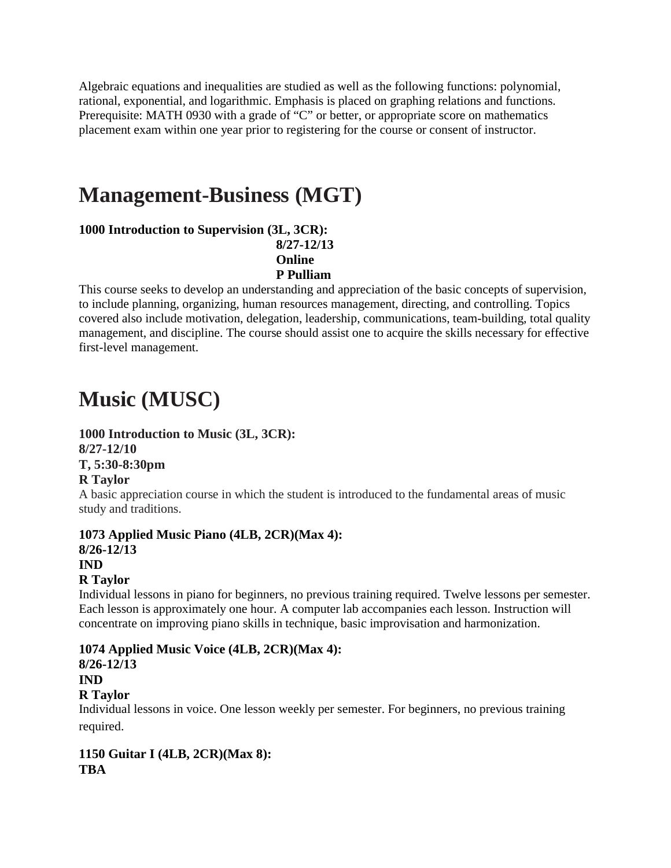Algebraic equations and inequalities are studied as well as the following functions: polynomial, rational, exponential, and logarithmic. Emphasis is placed on graphing relations and functions. Prerequisite: MATH 0930 with a grade of "C" or better, or appropriate score on mathematics placement exam within one year prior to registering for the course or consent of instructor.

## **Management-Business (MGT)**

### **1000 Introduction to Supervision (3L, 3CR):**

**8/27-12/13 Online P Pulliam** 

This course seeks to develop an understanding and appreciation of the basic concepts of supervision, to include planning, organizing, human resources management, directing, and controlling. Topics covered also include motivation, delegation, leadership, communications, team-building, total quality management, and discipline. The course should assist one to acquire the skills necessary for effective first-level management.

# **Music (MUSC)**

#### **1000 Introduction to Music (3L, 3CR): 8/27-12/10 T, 5:30-8:30pm R Taylor**

A basic appreciation course in which the student is introduced to the fundamental areas of music study and traditions.

#### **1073 Applied Music Piano (4LB, 2CR)(Max 4): 8/26-12/13 IND R Taylor**

Individual lessons in piano for beginners, no previous training required. Twelve lessons per semester. Each lesson is approximately one hour. A computer lab accompanies each lesson. Instruction will concentrate on improving piano skills in technique, basic improvisation and harmonization.

#### **1074 Applied Music Voice (4LB, 2CR)(Max 4): 8/26-12/13 IND R Taylor**  Individual lessons in voice. One lesson weekly per semester. For beginners, no previous training required.

### **1150 Guitar I (4LB, 2CR)(Max 8): TBA**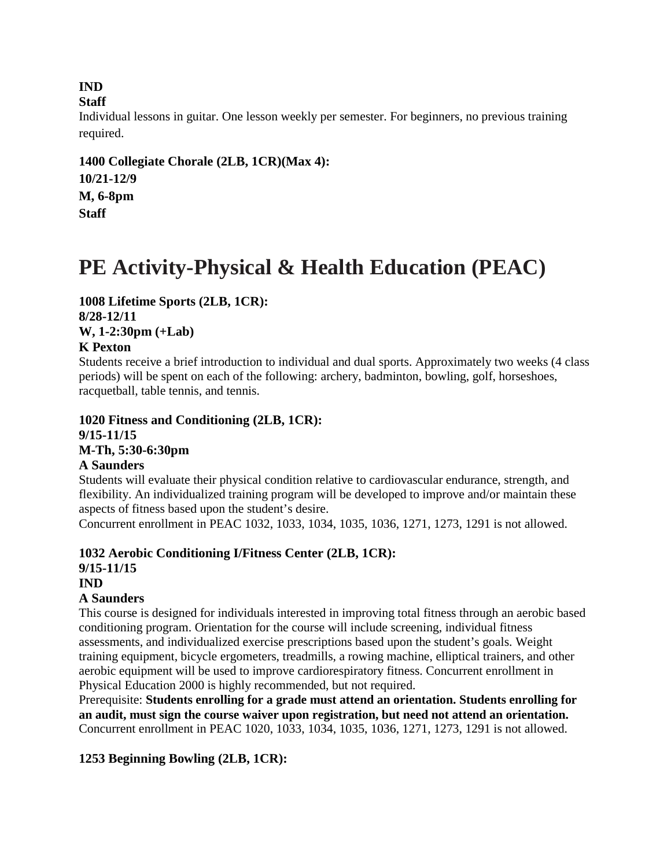**IND** 

**Staff** 

Individual lessons in guitar. One lesson weekly per semester. For beginners, no previous training required.

**1400 Collegiate Chorale (2LB, 1CR)(Max 4): 10/21-12/9 M, 6-8pm Staff** 

## **PE Activity-Physical & Health Education (PEAC)**

### **1008 Lifetime Sports (2LB, 1CR): 8/28-12/11 W, 1-2:30pm (+Lab)**

### **K Pexton**

Students receive a brief introduction to individual and dual sports. Approximately two weeks (4 class periods) will be spent on each of the following: archery, badminton, bowling, golf, horseshoes, racquetball, table tennis, and tennis.

**1020 Fitness and Conditioning (2LB, 1CR): 9/15-11/15 M-Th, 5:30-6:30pm** 

### **A Saunders**

Students will evaluate their physical condition relative to cardiovascular endurance, strength, and flexibility. An individualized training program will be developed to improve and/or maintain these aspects of fitness based upon the student's desire.

Concurrent enrollment in PEAC 1032, 1033, 1034, 1035, 1036, 1271, 1273, 1291 is not allowed.

### **1032 Aerobic Conditioning I/Fitness Center (2LB, 1CR): 9/15-11/15**

### **IND**

### **A Saunders**

This course is designed for individuals interested in improving total fitness through an aerobic based conditioning program. Orientation for the course will include screening, individual fitness assessments, and individualized exercise prescriptions based upon the student's goals. Weight training equipment, bicycle ergometers, treadmills, a rowing machine, elliptical trainers, and other aerobic equipment will be used to improve cardiorespiratory fitness. Concurrent enrollment in Physical Education 2000 is highly recommended, but not required.

Prerequisite: **Students enrolling for a grade must attend an orientation. Students enrolling for an audit, must sign the course waiver upon registration, but need not attend an orientation.**  Concurrent enrollment in PEAC 1020, 1033, 1034, 1035, 1036, 1271, 1273, 1291 is not allowed.

### **1253 Beginning Bowling (2LB, 1CR):**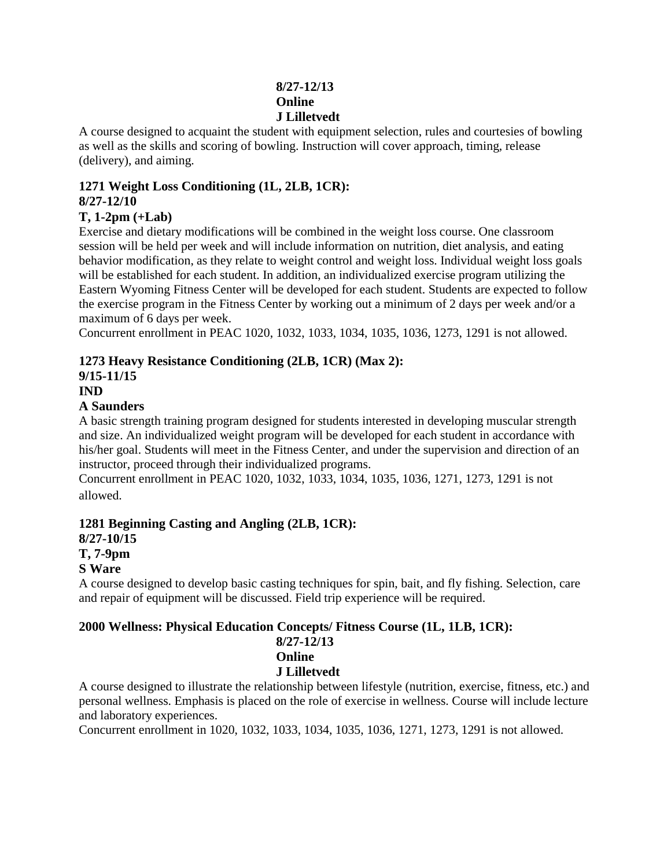#### **8/27-12/13 Online J Lilletvedt**

A course designed to acquaint the student with equipment selection, rules and courtesies of bowling as well as the skills and scoring of bowling. Instruction will cover approach, timing, release (delivery), and aiming.

### **1271 Weight Loss Conditioning (1L, 2LB, 1CR): 8/27-12/10**

#### **T, 1-2pm (+Lab)**

Exercise and dietary modifications will be combined in the weight loss course. One classroom session will be held per week and will include information on nutrition, diet analysis, and eating behavior modification, as they relate to weight control and weight loss. Individual weight loss goals will be established for each student. In addition, an individualized exercise program utilizing the Eastern Wyoming Fitness Center will be developed for each student. Students are expected to follow the exercise program in the Fitness Center by working out a minimum of 2 days per week and/or a maximum of 6 days per week.

Concurrent enrollment in PEAC 1020, 1032, 1033, 1034, 1035, 1036, 1273, 1291 is not allowed.

### **1273 Heavy Resistance Conditioning (2LB, 1CR) (Max 2):**

#### **9/15-11/15 IND**

### **A Saunders**

A basic strength training program designed for students interested in developing muscular strength and size. An individualized weight program will be developed for each student in accordance with his/her goal. Students will meet in the Fitness Center, and under the supervision and direction of an instructor, proceed through their individualized programs.

Concurrent enrollment in PEAC 1020, 1032, 1033, 1034, 1035, 1036, 1271, 1273, 1291 is not allowed.

### **1281 Beginning Casting and Angling (2LB, 1CR):**

#### **8/27-10/15**

#### **T, 7-9pm**

#### **S Ware**

A course designed to develop basic casting techniques for spin, bait, and fly fishing. Selection, care and repair of equipment will be discussed. Field trip experience will be required.

### **2000 Wellness: Physical Education Concepts/ Fitness Course (1L, 1LB, 1CR):**

### **8/27-12/13**

### **Online**

#### **J Lilletvedt**

A course designed to illustrate the relationship between lifestyle (nutrition, exercise, fitness, etc.) and personal wellness. Emphasis is placed on the role of exercise in wellness. Course will include lecture and laboratory experiences.

Concurrent enrollment in 1020, 1032, 1033, 1034, 1035, 1036, 1271, 1273, 1291 is not allowed.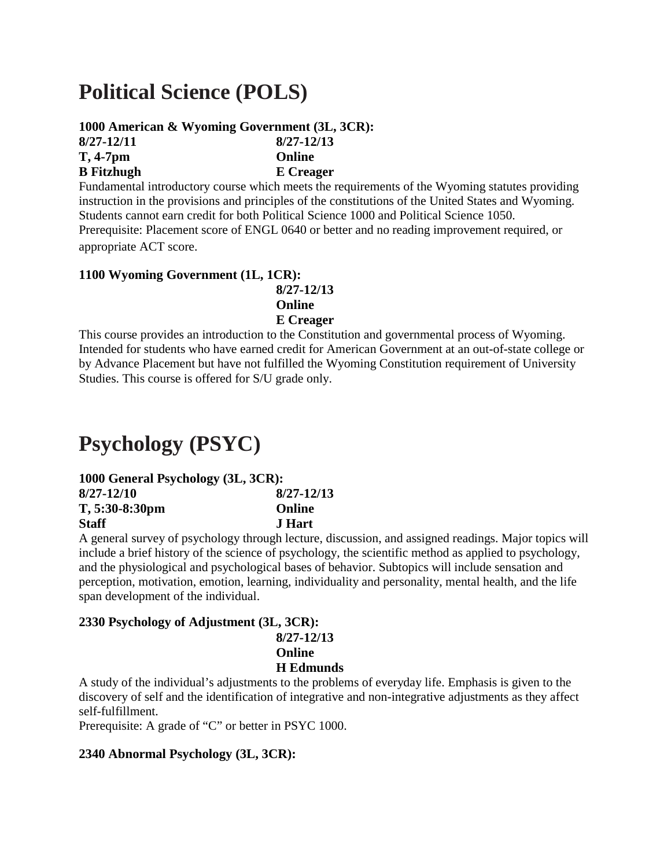## **Political Science (POLS)**

#### **1000 American & Wyoming Government (3L, 3CR):**

**8/27-12/11 8/27-12/13** 

**T, 4-7pm Online** 

**B Fitzhugh E Creager** 

Fundamental introductory course which meets the requirements of the Wyoming statutes providing instruction in the provisions and principles of the constitutions of the United States and Wyoming. Students cannot earn credit for both Political Science 1000 and Political Science 1050. Prerequisite: Placement score of ENGL 0640 or better and no reading improvement required, or appropriate ACT score.

### **1100 Wyoming Government (1L, 1CR):**

**8/27-12/13 Online** 

**E Creager** 

This course provides an introduction to the Constitution and governmental process of Wyoming. Intended for students who have earned credit for American Government at an out-of-state college or by Advance Placement but have not fulfilled the Wyoming Constitution requirement of University Studies. This course is offered for S/U grade only.

## **Psychology (PSYC)**

#### **1000 General Psychology (3L, 3CR): 8/27-12/10 8/27-12/13 T, 5:30-8:30pm Online**

**Staff J Hart** 

A general survey of psychology through lecture, discussion, and assigned readings. Major topics will include a brief history of the science of psychology, the scientific method as applied to psychology, and the physiological and psychological bases of behavior. Subtopics will include sensation and perception, motivation, emotion, learning, individuality and personality, mental health, and the life span development of the individual.

### **2330 Psychology of Adjustment (3L, 3CR):**

**8/27-12/13 Online H Edmunds** 

A study of the individual's adjustments to the problems of everyday life. Emphasis is given to the discovery of self and the identification of integrative and non-integrative adjustments as they affect self-fulfillment.

Prerequisite: A grade of "C" or better in PSYC 1000.

### **2340 Abnormal Psychology (3L, 3CR):**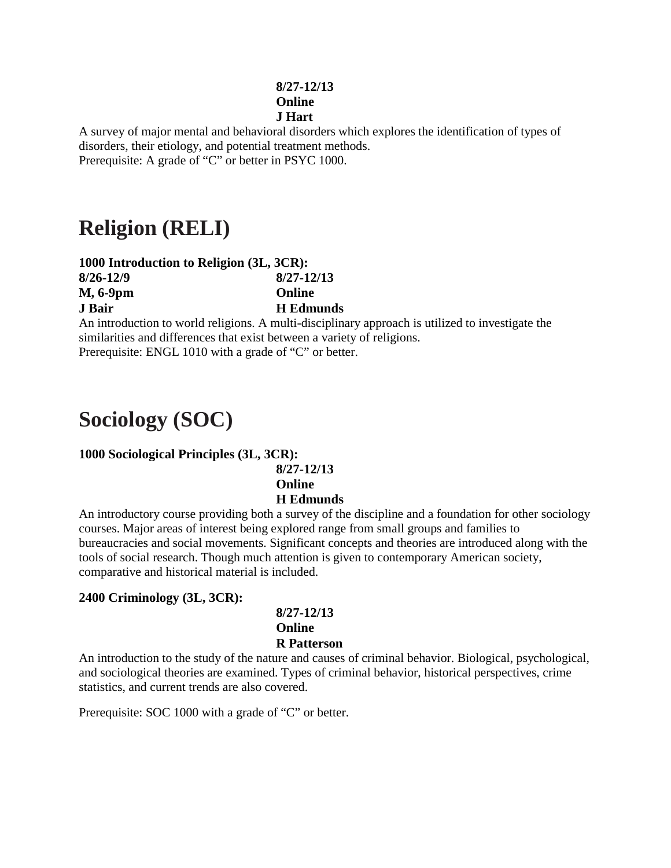#### **8/27-12/13 Online J Hart**

A survey of major mental and behavioral disorders which explores the identification of types of disorders, their etiology, and potential treatment methods. Prerequisite: A grade of "C" or better in PSYC 1000.

## **Religion (RELI)**

| 1000 Introduction to Religion (3L, 3CR): |                  |
|------------------------------------------|------------------|
| 8/26-12/9                                | $8/27 - 12/13$   |
| M, 6-9pm                                 | Online           |
| <b>J</b> Bair                            | <b>H</b> Edmunds |

An introduction to world religions. A multi-disciplinary approach is utilized to investigate the similarities and differences that exist between a variety of religions. Prerequisite: ENGL 1010 with a grade of "C" or better.

## **Sociology (SOC)**

#### **1000 Sociological Principles (3L, 3CR):**

**8/27-12/13 Online H Edmunds** 

An introductory course providing both a survey of the discipline and a foundation for other sociology courses. Major areas of interest being explored range from small groups and families to bureaucracies and social movements. Significant concepts and theories are introduced along with the tools of social research. Though much attention is given to contemporary American society, comparative and historical material is included.

#### **2400 Criminology (3L, 3CR):**

#### **8/27-12/13 Online R Patterson**

An introduction to the study of the nature and causes of criminal behavior. Biological, psychological, and sociological theories are examined. Types of criminal behavior, historical perspectives, crime statistics, and current trends are also covered.

Prerequisite: SOC 1000 with a grade of "C" or better.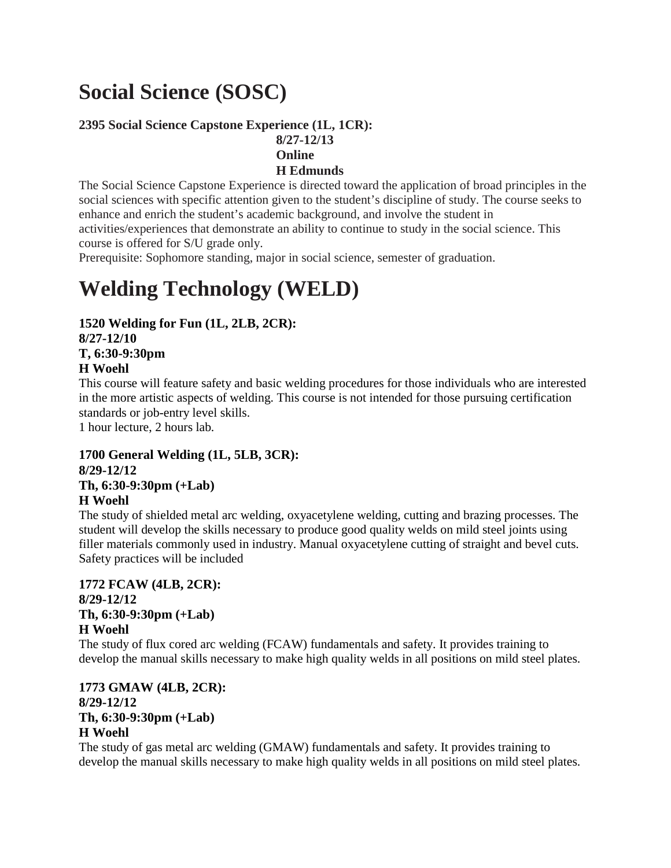## **Social Science (SOSC)**

### **2395 Social Science Capstone Experience (1L, 1CR):**

**8/27-12/13** 

**Online** 

#### **H Edmunds**

The Social Science Capstone Experience is directed toward the application of broad principles in the social sciences with specific attention given to the student's discipline of study. The course seeks to enhance and enrich the student's academic background, and involve the student in

activities/experiences that demonstrate an ability to continue to study in the social science. This course is offered for S/U grade only.

Prerequisite: Sophomore standing, major in social science, semester of graduation.

## **Welding Technology (WELD)**

### **1520 Welding for Fun (1L, 2LB, 2CR):**

**8/27-12/10 T, 6:30-9:30pm** 

### **H Woehl**

This course will feature safety and basic welding procedures for those individuals who are interested in the more artistic aspects of welding. This course is not intended for those pursuing certification standards or job-entry level skills.

1 hour lecture, 2 hours lab.

### **1700 General Welding (1L, 5LB, 3CR): 8/29-12/12 Th, 6:30-9:30pm (+Lab) H Woehl**

The study of shielded metal arc welding, oxyacetylene welding, cutting and brazing processes. The student will develop the skills necessary to produce good quality welds on mild steel joints using filler materials commonly used in industry. Manual oxyacetylene cutting of straight and bevel cuts. Safety practices will be included

#### **1772 FCAW (4LB, 2CR): 8/29-12/12 Th, 6:30-9:30pm (+Lab) H Woehl**

The study of flux cored arc welding (FCAW) fundamentals and safety. It provides training to develop the manual skills necessary to make high quality welds in all positions on mild steel plates.

#### **1773 GMAW (4LB, 2CR): 8/29-12/12 Th, 6:30-9:30pm (+Lab) H Woehl**

The study of gas metal arc welding (GMAW) fundamentals and safety. It provides training to develop the manual skills necessary to make high quality welds in all positions on mild steel plates.